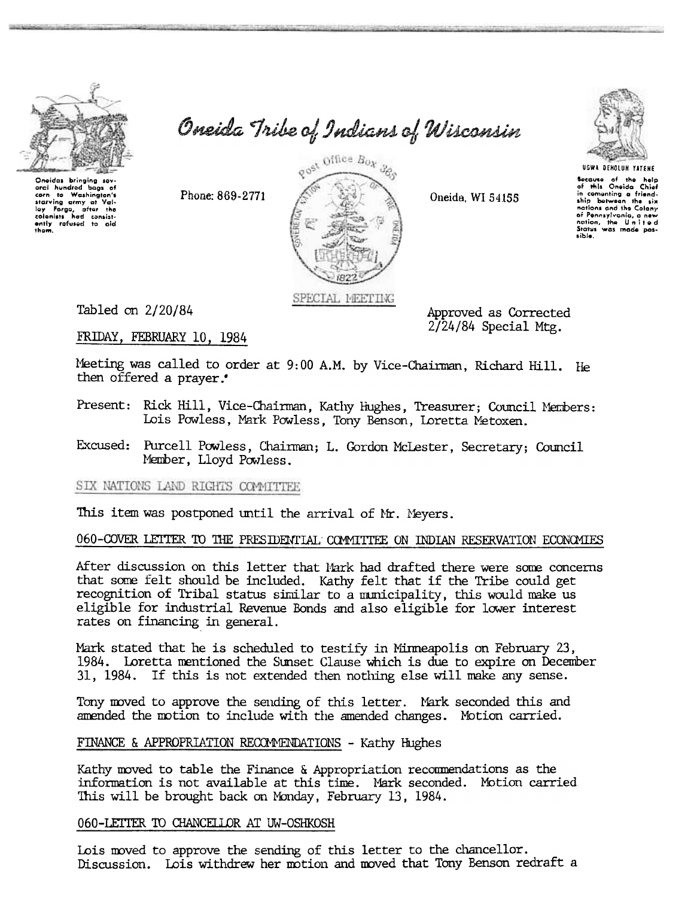

oral hundred bags of to Washington's

Val-

starvina army at starving army at Valley Forge, after the<br>colonists had consistently refused to aid<br>them.

corn

Oneida Tribe of Indians of Wisconsin



UGWA DENOLUN YATENE Because of the help<br>of this Oneida Chief<br>in cementing a friend-<br>ship between the six nations and the Colony nations and the Colony<br>of Pennsylvania, a new<br>nation, the United<br>Sights was mode possible.

Phone: 869-2771



Approved as Corrected  $2/24/84$  Special Mtg.

Oneida, WI 54155

Tabled on 2/20/84

FRIDAY, FEBRUARY 10, 1984

Meeting was called to order at 9:00 A.M. by Vice-Chairman, Richard Hill. He then offered a prayer.

Present: Rick Hill, Vice-Chairman, Kathy Hughes, Treasurer; Council Members: Lois Powless, Mark Powless, Tony Benson, Loretta Metoxen.

Excused: Purcell Powless, Chairman; L. Gordon McLester, Secretary; Council Member, Lloyd Powless.

SIX NATIONS LAND RIGHTS COMMITTEE

This item was postponed until the arrival of Mr. Meyers.

#### 060-COVER LETTER TO THE PRESIDENTIAL COMMITTEE ON INDIAN RESERVATION ECONOMIES

After discussion on this letter that Mark had drafted there were some concerns that some felt should be included. Kathy felt that if the Tribe could get recognition of Tribal status similar to a municipality, this would make us eligible for industrial Revenue Bonds and also eligible for lower interest rates on financing in general.

Mark stated that he is scheduled to testify in Minneapolis on February 23, 1984. Loretta mentioned the Sunset Clause which is due to expire on December 31, 1984. If this is not extended then nothing else will make any sense.

Tony moved to approve the sending of this letter. Mark seconded this and amended the motion to include with the amended changes. Motion carried.

FINANCE & APPROPRIATION RECOMMENDATIONS - Kathy Hughes

Kathy moved to table the Finance & Appropriation recommendations as the information is not available at this time. Mark seconded. Motion carried. This will be brought back on Monday, February 13, 1984.

### 060-LETTER TO CHANCELLOR AT UW-OSHKOSH

Lois moved to approve the sending of this letter to the chancellor. Discussion. Lois withdrew her motion and moved that Tony Benson redraft a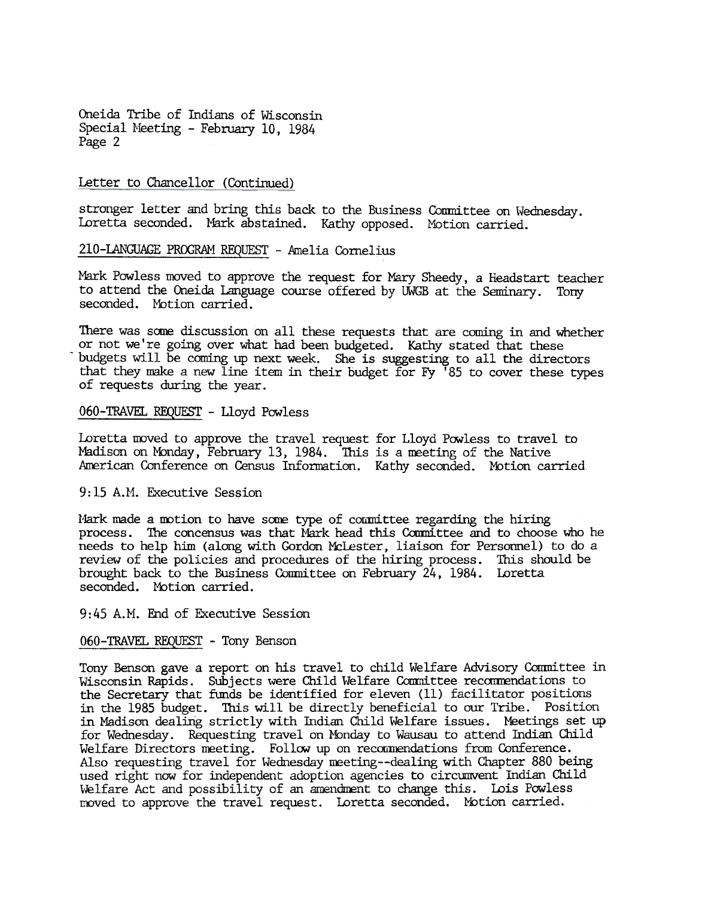Oneida Tribe of Indians of Wisconsin Special Meeting - February 10, 1984 Page 2

#### Letter to Chancellor (Continued)

stronger letter and bring this back to the Business Committee on Wednesday. Loretta seconded. Mark abstained. Kathy opposed. Motion carried.

210-LANGUAGE PROGRAM REQUEST - Amelia Cornelius

Mark Powless moved to approve the request for Mary Sheedy, a Headstart teacher to attend the Oneida Language course offered by UWGB at the Seminary. Tony seconded. Motion carried.

There was some discussion on all these requests that are coming in and whether or not we're going over what had been budgeted. Kathy stated that these budgets will be coming up next week. She is suggesting to all the directors that they make a new line item in their budget for Fy '85 to cover these types of requests during the year.

#### 060-TRAVEL REQUEST -Lloyd Powless

Loretta moved to approve the travel request for Lloyd Powless to travel to Madison on Monday, February 13, 1984. This is a meeting of the Native American Conference on Census Information. Kathy seconded. Motion carried.

#### 9:15 A.M. Executive Session

Mark made a motion to have some type of committee regarding the hiring process. The concensus was that Mark head this Committee and to choose who he needs to help him (along with Gordon MCLester, liaison for Personnel) to do a review of the policies and procedures of the hiring process. This should be brought back to the Business Committee on February 24, 1984. Loretta seconded. Motion carried.

9: 45 A.M. End of Executive Session

## 060-TRAVEL REQUEST - Tony Benson

Tony Benson gave a report on his travel to child Welfare Advisory Conmittee in Wisconsin Rapids. Subjects were Child Welfare Committee recommendations to the Secretary that funds be identified for eleven (11) facilitator positions in the 1985 budget. This will be directly beneficial to our Tribe. Position in Madison dealing strictly with Indian Child Welfare issues. Meetings set up for Wednesday. Requesting travel on Monday to Wausau to attend Indian Child Welfare Directors meeting. Follow up on recommendations from Conference Also requesting travel for Wednesday meeting--dealing with Chapter 880 being used right now for independent adoption agencies to circmwent Indian Child Welfare Act and possibility of an amendment to change this. Lois Powless moved to approve the travel request. Loretta seconded. Motion carried.